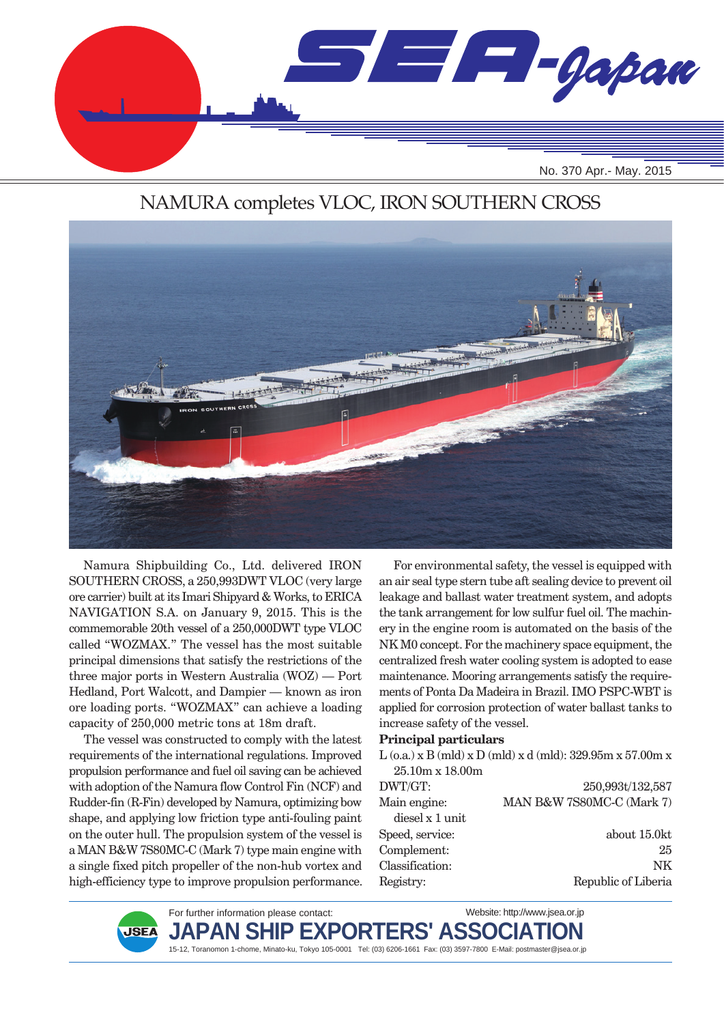

### NAMURA completes VLOC, IRON SOUTHERN CROSS



Namura Shipbuilding Co., Ltd. delivered IRON SOUTHERN CROSS, a 250,993DWT VLOC (very large ore carrier) built at its Imari Shipyard & Works, to ERICA NAVIGATION S.A. on January 9, 2015. This is the commemorable 20th vessel of a 250,000DWT type VLOC called "WOZMAX." The vessel has the most suitable principal dimensions that satisfy the restrictions of the three major ports in Western Australia (WOZ) — Port Hedland, Port Walcott, and Dampier — known as iron ore loading ports. "WOZMAX" can achieve a loading capacity of 250,000 metric tons at 18m draft.

The vessel was constructed to comply with the latest requirements of the international regulations. Improved propulsion performance and fuel oil saving can be achieved with adoption of the Namura flow Control Fin (NCF) and Rudder-fin (R-Fin) developed by Namura, optimizing bow shape, and applying low friction type anti-fouling paint on the outer hull. The propulsion system of the vessel is a MAN B&W 7S80MC-C (Mark 7) type main engine with a single fixed pitch propeller of the non-hub vortex and high-efficiency type to improve propulsion performance.

For environmental safety, the vessel is equipped with an air seal type stern tube aft sealing device to prevent oil leakage and ballast water treatment system, and adopts the tank arrangement for low sulfur fuel oil. The machinery in the engine room is automated on the basis of the NK M0 concept. For the machinery space equipment, the centralized fresh water cooling system is adopted to ease maintenance. Mooring arrangements satisfy the requirements of Ponta Da Madeira in Brazil. IMO PSPC-WBT is applied for corrosion protection of water ballast tanks to increase safety of the vessel.

#### **Principal particulars**

L  $(o.a.) \times B$  (mld)  $x D$  (mld)  $x d$  (mld): 329.95m  $x 57.00$ m  $x 57.00$  25.10m x 18.00m DWT/GT: Main engine: diesel x 1 unit Speed, service: Complement: Classification: Registry: 250,993t/132,587 MAN B&W 7S80MC-C (Mark 7) about 15.0kt 25 NK Republic of Liberia



For further information please contact:  $JAPAN$  SHIP <code>EXPORTERS'</code> ASSOC Website: http://www.jsea.or.jp

15-12, Toranomon 1-chome, Minato-ku, Tokyo 105-0001 Tel: (03) 6206-1661 Fax: (03) 3597-7800 E-Mail: postmaster@jsea.or.jp